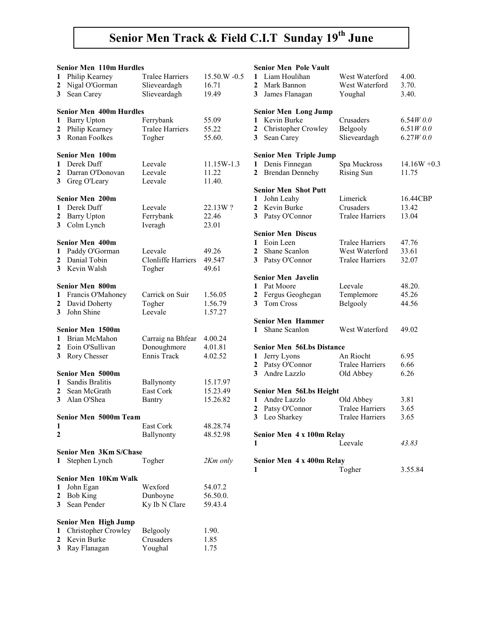# Senior Men Track & Field C.I.T Sunday 19<sup>th</sup> June

|                         | <b>Senior Men 110m Hurdles</b> |                           |              |
|-------------------------|--------------------------------|---------------------------|--------------|
| 1                       | Philip Kearney                 | <b>Tralee Harriers</b>    | 15.50.W -0.5 |
| $\boldsymbol{2}$        | Nigal O'Gorman                 | Slieveardagh              | 16.71        |
| 3                       | Sean Carey                     | Slieveardagh              | 19.49        |
|                         |                                |                           |              |
|                         | <b>Senior Men 400m Hurdles</b> |                           |              |
| 1                       | <b>Barry Upton</b>             | Ferrybank                 | 55.09        |
| $\overline{\mathbf{c}}$ | Philip Kearney                 | <b>Tralee Harriers</b>    | 55.22        |
| 3                       | Ronan Foolkes                  | Togher                    | 55.60.       |
|                         |                                |                           |              |
|                         | Senior Men 100m                |                           |              |
| 1                       | Derek Duff                     | Leevale                   | 11.15W-1.3   |
| $\overline{2}$          | Darran O'Donovan               | Leevale                   | 11.22        |
|                         |                                | Leevale                   |              |
| 3                       | Greg O'Leary                   |                           | 11.40.       |
|                         | Senior Men 200m                |                           |              |
| 1                       | Derek Duff                     | Leevale                   | 22.13W?      |
| $\overline{\mathbf{c}}$ | <b>Barry Upton</b>             | Ferrybank                 | 22.46        |
| 3                       | Colm Lynch                     | Iveragh                   | 23.01        |
|                         |                                |                           |              |
|                         | <b>Senior Men 400m</b>         |                           |              |
| 1                       | Paddy O'Gorman                 | Leevale                   | 49.26        |
| $\mathbf{2}$            | Danial Tobin                   | <b>Clonliffe Harriers</b> | 49.547       |
| 3                       | Kevin Walsh                    | Togher                    | 49.61        |
|                         |                                |                           |              |
|                         | <b>Senior Men 800m</b>         |                           |              |
| $\mathbf{1}$            | Francis O'Mahoney              | Carrick on Suir           | 1.56.05      |
| $\overline{2}$          | David Doherty                  | Togher                    | 1.56.79      |
| $\mathbf{3}$            | John Shine                     | Leevale                   | 1.57.27      |
|                         |                                |                           |              |
|                         | Senior Men 1500m               |                           |              |
| 1                       | Brian McMahon                  | Carraig na Bhfear         | 4.00.24      |
| $\mathbf{2}$            | Eoin O'Sullivan                | Donoughmore               | 4.01.81      |
| 3                       | Rory Chesser                   | Ennis Track               | 4.02.52      |
|                         |                                |                           |              |
|                         | Senior Men 5000m               |                           |              |
| 1                       | <b>Sandis Bralitis</b>         | Ballynonty                | 15.17.97     |
| $\overline{2}$          | Sean McGrath                   | East Cork                 | 15.23.49     |
| 3 <sup>1</sup>          | Alan O'Shea                    | Bantry                    | 15.26.82     |
|                         |                                |                           |              |
|                         | Senior Men 5000m Team          |                           |              |
| 1                       |                                | East Cork                 | 48.28.74     |
| 2                       |                                | Ballynonty                | 48.52.98     |
|                         |                                |                           |              |
|                         | <b>Senior Men 3Km S/Chase</b>  |                           |              |
| 1                       | Stephen Lynch                  | Togher                    | 2Km only     |
|                         |                                |                           |              |
|                         | <b>Senior Men 10Km Walk</b>    |                           |              |
| 1                       | John Egan                      | Wexford                   | 54.07.2      |
| 2                       | <b>Bob King</b>                | Dunboyne                  | 56.50.0.     |
| 3                       | Sean Pender                    | Ky Ib N Clare             | 59.43.4      |
|                         |                                |                           |              |
|                         | Senior Men High Jump           |                           |              |
| 1                       | Christopher Crowley            | <b>Belgooly</b>           | 1.90.        |
| 2                       | Kevin Burke                    | Crusaders                 | 1.85         |
| 3                       | Ray Flanagan                   | Youghal                   | 1.75         |

|                | <b>Senior Men Pole Vault</b>     |                        |                |
|----------------|----------------------------------|------------------------|----------------|
| 1              | Liam Houlihan                    | West Waterford         | 4.00.          |
| 2              | Mark Bannon                      | West Waterford         | 3.70.          |
| 3              | James Flanagan                   | Youghal                | 3.40.          |
|                |                                  |                        |                |
|                | <b>Senior Men Long Jump</b>      |                        |                |
| 1              | Kevin Burke                      | Crusaders              | 6.54W0.0       |
| $\mathbf{2}$   | Christopher Crowley              | Belgooly               | 6.51W0.0       |
| 3              | Sean Carey                       | Slieveardagh           | 6.27W0.0       |
|                | <b>Senior Men Triple Jump</b>    |                        |                |
| 1              | Denis Finnegan                   | Spa Muckross           | $14.16W + 0.3$ |
| $\mathbf{2}$   | <b>Brendan Dennehy</b>           | <b>Rising Sun</b>      | 11.75          |
|                |                                  |                        |                |
|                | <b>Senior Men Shot Putt</b>      |                        |                |
| 1              | John Leahy                       | Limerick               | 16.44CBP       |
| 2              | Kevin Burke                      | Crusaders              | 13.42          |
|                | 3 Patsy O'Connor                 | <b>Tralee Harriers</b> | 13.04          |
|                |                                  |                        |                |
|                | <b>Senior Men Discus</b>         |                        |                |
| 1              | Eoin Leen                        | <b>Tralee Harriers</b> | 47.76          |
| 2              | Shane Scanlon                    | West Waterford         | 33.61          |
| 3 <sup>1</sup> | Patsy O'Connor                   | <b>Tralee Harriers</b> | 32.07          |
|                | <b>Senior Men Javelin</b>        |                        |                |
| 1              | Pat Moore                        | Leevale                | 48.20.         |
| 2              | Fergus Geoghegan                 | Templemore             | 45.26          |
| 3 <sup>1</sup> | Tom Cross                        | Belgooly               | 44.56          |
|                | <b>Senior Men Hammer</b>         |                        |                |
| 1              | Shane Scanlon                    | West Waterford         | 49.02          |
|                |                                  |                        |                |
|                | <b>Senior Men 56Lbs Distance</b> |                        |                |
| 1              | Jerry Lyons                      | An Riocht              | 6.95           |
| 2              | Patsy O'Connor                   | <b>Tralee Harriers</b> | 6.66           |
| 3 <sup>1</sup> | Andre Lazzlo                     | Old Abbey              | 6.26           |
|                | Senior Men 56Lbs Height          |                        |                |
| 1              | Andre Lazzlo                     | Old Abbey              | 3.81           |
| 2              | Patsy O'Connor                   | <b>Tralee Harriers</b> | 3.65           |
| 3              | Leo Sharkey                      | <b>Tralee Harriers</b> | 3.65           |
|                |                                  |                        |                |
|                | Senior Men 4 x 100m Relay        |                        |                |
| 1              |                                  | Leevale                | 43.83          |
|                |                                  |                        |                |
|                | Senior Men 4 x 400m Relay        |                        |                |
| 1              |                                  | Togher                 | 3.55.84        |
|                |                                  |                        |                |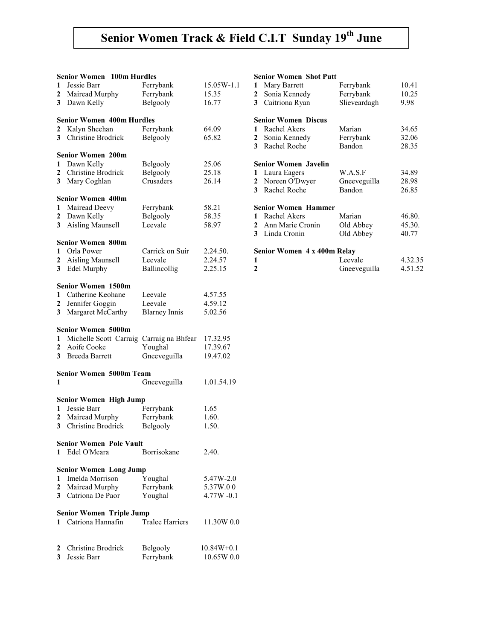# Senior Women Track & Field C.I.T Sunday 19<sup>th</sup> June

|   | <b>Senior Women</b><br>100m Hurdles |                        |               |
|---|-------------------------------------|------------------------|---------------|
| 1 | Jessie Barr                         | Ferrybank              | 15.05W-1.1    |
| 2 | Mairead Murphy                      | Ferrybank              | 15.35         |
| 3 | Dawn Kelly                          | Belgooly               | 16.77         |
|   |                                     |                        |               |
|   | <b>Senior Women 400m Hurdles</b>    |                        |               |
| 2 | Kalyn Sheehan                       | Ferrybank              | 64.09         |
| 3 | Christine Brodrick                  | Belgooly               | 65.82         |
|   |                                     |                        |               |
|   | <b>Senior Women 200m</b>            |                        |               |
| 1 | Dawn Kelly                          | Belgooly               | 25.06         |
| 2 | Christine Brodrick                  | Belgooly               | 25.18         |
| 3 | Mary Coghlan                        | Crusaders              | 26.14         |
|   | <b>Senior Women 400m</b>            |                        |               |
| 1 | Mairead Deevy                       | Ferrybank              | 58.21         |
| 2 | Dawn Kelly                          | Belgooly               | 58.35         |
| 3 | Aisling Maunsell                    | Leevale                | 58.97         |
|   |                                     |                        |               |
|   | <b>Senior Women 800m</b>            |                        |               |
| 1 | Orla Power                          | Carrick on Suir        | 2.24.50.      |
| 2 | <b>Aisling Maunsell</b>             | Leevale                | 2.24.57       |
| 3 | Edel Murphy                         | Ballincollig           | 2.25.15       |
|   |                                     |                        |               |
|   | Senior Women 1500m                  |                        |               |
| 1 | Catherine Keohane                   | Leevale                | 4.57.55       |
| 2 | Jennifer Goggin                     | Leevale                | 4.59.12       |
| 3 | Margaret McCarthy                   | <b>Blarney Innis</b>   | 5.02.56       |
|   | <b>Senior Women 5000m</b>           |                        |               |
| 1 | Michelle Scott Carraig              | Carraig na Bhfear      | 17.32.95      |
| 2 | Aoife Cooke                         | Youghal                | 17.39.67      |
| 3 | <b>Breeda Barrett</b>               | Gneeveguilla           | 19.47.02      |
|   |                                     |                        |               |
|   | <b>Senior Women 5000m Team</b>      |                        |               |
| 1 |                                     | Gneeveguilla           | 1.01.54.19    |
|   |                                     |                        |               |
|   | <b>Senior Women High Jump</b>       |                        |               |
| 1 | Jessie Barr                         | Ferrybank              | 1.65          |
| 2 | Mairead Murphy                      | Ferrybank              | 1.60.         |
| 3 | Christine Brodrick                  | Belgooly               | 1.50.         |
|   |                                     |                        |               |
|   | <b>Senior Women Pole Vault</b>      |                        |               |
| 1 | Edel O'Meara                        | Borrisokane            | 2.40.         |
|   | <b>Senior Women Long Jump</b>       |                        |               |
| 1 | Imelda Morrison                     | Youghal                | 5.47W-2.0     |
| 2 | Mairead Murphy                      | Ferrybank              | 5.37W.00      |
| 3 | Catriona De Paor                    | Youghal                | $4.77W - 0.1$ |
|   |                                     |                        |               |
|   | <b>Senior Women Triple Jump</b>     |                        |               |
| 1 | Catriona Hannafin                   | <b>Tralee Harriers</b> | 11.30W 0.0    |
|   |                                     |                        |               |
|   |                                     |                        |               |
| 2 | Christine Brodrick                  | Belgooly               | $10.84W+0.1$  |
| 3 | Jessie Barr                         | Ferrybank              | 10.65W 0.0    |

#### Senior Women Shot Putt

| 1            | Mary Barrett                | Ferrybank    | 10.41   |
|--------------|-----------------------------|--------------|---------|
| 2            | Sonia Kennedy               | Ferrybank    | 10.25   |
| 3            | Caitriona Ryan              | Slieveardagh | 9.98    |
|              | <b>Senior Women Discus</b>  |              |         |
| 1            | Rachel Akers                | Marian       | 34.65   |
| 2            | Sonia Kennedy               | Ferrybank    | 32.06   |
| 3            | Rachel Roche                | Bandon       | 28.35   |
|              | <b>Senior Women Javelin</b> |              |         |
|              | Laura Eagers                | W.A.S.F      | 34.89   |
|              | 2 Noreen O'Dwyer            | Gneeveguilla | 28.98   |
| 3            | Rachel Roche                | Bandon       | 26.85   |
|              | <b>Senior Women Hammer</b>  |              |         |
| 1            | Rachel Akers                | Marian       | 46.80.  |
|              | 2 Ann Marie Cronin          | Old Abbey    | 45.30.  |
| 3            | Linda Cronin                | Old Abbey    | 40.77   |
|              | Senior Women 4 x 400m Relay |              |         |
| 1            |                             | Leevale      | 4.32.35 |
| $\mathbf{2}$ |                             | Gneeveguilla | 4.51.52 |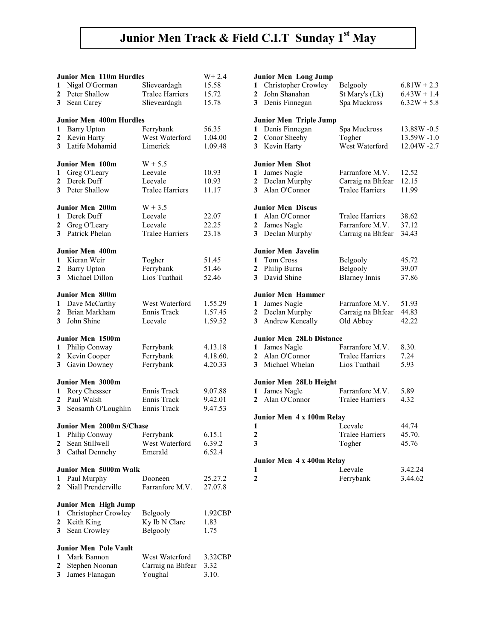# Junior Men Track & Field C.I.T Sunday 1st May

|                | <b>Junior Men 110m Hurdles</b>       |                        | $W + 2.4$ |
|----------------|--------------------------------------|------------------------|-----------|
| 1              | Nigal O'Gorman                       | Slieveardagh           | 15.58     |
| 2              | Peter Shallow                        | <b>Tralee Harriers</b> |           |
|                |                                      |                        | 15.72     |
| 3              | Sean Carey                           | Slieveardagh           | 15.78     |
|                | <b>Junior Men 400m Hurdles</b>       |                        |           |
|                |                                      |                        |           |
| 1              | <b>Barry Upton</b>                   | Ferrybank              | 56.35     |
| 2              | Kevin Harty                          | West Waterford         | 1.04.00   |
| 3              | Latife Mohamid                       | Limerick               | 1.09.48   |
|                |                                      |                        |           |
|                | <b>Junior Men 100m</b>               | $W + 5.5$              |           |
| 1              | Greg O'Leary                         | Leevale                | 10.93     |
| $\overline{2}$ | Derek Duff                           | Leevale                | 10.93     |
| 3              | Peter Shallow                        | <b>Tralee Harriers</b> | 11.17     |
|                | <b>Junior Men 200m</b>               | $W + 3.5$              |           |
|                | Derek Duff                           |                        |           |
| 1              |                                      | Leevale                | 22.07     |
| 2              | Greg O'Leary                         | Leevale                | 22.25     |
| 3              | Patrick Phelan                       | <b>Tralee Harriers</b> | 23.18     |
|                | Junior Men 400m                      |                        |           |
| $\mathbf{1}$   | Kieran Weir                          | Togher                 | 51.45     |
| $\overline{2}$ |                                      | Ferrybank              | 51.46     |
|                | <b>Barry Upton</b><br>Michael Dillon |                        |           |
| 3              |                                      | Lios Tuathail          | 52.46     |
|                | <b>Junior Men 800m</b>               |                        |           |
| 1              | Dave McCarthy                        | West Waterford         | 1.55.29   |
| $\mathbf{2}$   | Brian Markham                        | Ennis Track            | 1.57.45   |
| 3              | John Shine                           | Leevale                | 1.59.52   |
|                |                                      |                        |           |
|                | Junior Men 1500m                     |                        |           |
| 1              | Philip Conway                        | Ferrybank              | 4.13.18   |
| 2              | Kevin Cooper                         | Ferrybank              | 4.18.60.  |
| 3              | Gavin Downey                         | Ferrybank              | 4.20.33   |
|                |                                      |                        |           |
|                | <b>Junior Men 3000m</b>              |                        |           |
| 1              | Rory Chessser                        | Ennis Track            | 9.07.88   |
| $\overline{2}$ | Paul Walsh                           | Ennis Track            | 9.42.01   |
| 3              | Seosamh O'Loughlin                   | Ennis Track            | 9.47.53   |
|                |                                      |                        |           |
|                | Junior Men 2000m S/Chase             |                        |           |
| 1              | Philip Conway                        | Ferrybank              | 6.15.1    |
| 2              | Sean Stillwell                       | West Waterford         | 6.39.2    |
| 3              | Cathal Dennehy                       | Emerald                | 6.52.4    |
|                |                                      |                        |           |
|                | Junior Men 5000m Walk                |                        |           |
| 1              | Paul Murphy                          | Dooneen                | 25.27.2   |
| 2              | Niall Prenderville                   | Farranfore M.V.        | 27.07.8   |
|                |                                      |                        |           |
|                | Junior Men High Jump                 |                        |           |
| 1              | Christopher Crowley                  | Belgooly               | 1.92CBP   |
| 2              | Keith King                           | Ky Ib N Clare          | 1.83      |
| 3              | Sean Crowley                         | Belgooly               | 1.75      |
|                | <b>Junior Men Pole Vault</b>         |                        |           |
| 1              | Mark Bannon                          | West Waterford         |           |
|                |                                      |                        | 3.32CBP   |
| 2              | Stephen Noonan                       | Carraig na Bhfear      | 3.32      |
| 3              | James Flanagan                       | Youghal                | 3.10.     |

|                         | Junior Men Long Jump            |                        |               |
|-------------------------|---------------------------------|------------------------|---------------|
| 1                       | Christopher Crowley             | Belgooly               | $6.81W + 2.3$ |
| $\overline{2}$          | John Shanahan                   | St Mary's (Lk)         | $6.43W + 1.4$ |
| 3                       | Denis Finnegan                  | Spa Muckross           | $6.32W + 5.8$ |
|                         |                                 |                        |               |
|                         | Junior Men Triple Jump          |                        |               |
| 1                       | Denis Finnegan                  | Spa Muckross           | 13.88W -0.5   |
| $\overline{\mathbf{c}}$ | Conor Sheehy                    | Togher                 | 13.59W-1.0    |
| 3                       | Kevin Harty                     | West Waterford         | 12.04W -2.7   |
|                         |                                 |                        |               |
|                         | Junior Men Shot                 |                        |               |
| 1                       | James Nagle                     | Farranfore M.V.        | 12.52         |
| $\overline{\mathbf{c}}$ | Declan Murphy                   | Carraig na Bhfear      | 12.15         |
| 3                       | Alan O'Connor                   | <b>Tralee Harriers</b> | 11.99         |
|                         |                                 |                        |               |
|                         | <b>Junior Men Discus</b>        |                        |               |
| 1                       | Alan O'Connor                   | <b>Tralee Harriers</b> | 38.62         |
| $\mathbf{z}$            | James Nagle                     | Farranfore M.V.        | 37.12         |
| 3                       | Declan Murphy                   | Carraig na Bhfear      | 34.43         |
|                         |                                 |                        |               |
|                         | <b>Junior Men Javelin</b>       |                        |               |
| 1                       | Tom Cross                       | Belgooly               | 45.72         |
| $\overline{\mathbf{c}}$ | Philip Burns                    | Belgooly               | 39.07         |
| 3                       | David Shine                     | <b>Blarney Innis</b>   | 37.86         |
|                         |                                 |                        |               |
|                         | <b>Junior Men Hammer</b>        |                        |               |
| 1                       | James Nagle                     | Farranfore M.V.        | 51.93         |
| $\overline{\mathbf{c}}$ | Declan Murphy                   | Carraig na Bhfear      | 44.83         |
| 3                       | Andrew Keneally                 | Old Abbey              | 42.22         |
|                         |                                 |                        |               |
|                         | <b>Junior Men 28Lb Distance</b> |                        |               |
| 1                       | James Nagle                     | Farranfore M.V.        | 8.30.         |
| 2                       | Alan O'Connor                   | <b>Tralee Harriers</b> | 7.24          |
| 3                       | Michael Whelan                  | Lios Tuathail          | 5.93          |
|                         |                                 |                        |               |
|                         | Junior Men 28Lb Height          |                        |               |
| 1                       | James Nagle                     | Farranfore M.V.        | 5.89          |
| $\overline{2}$          | Alan O'Connor                   | <b>Tralee Harriers</b> | 4.32          |
|                         |                                 |                        |               |
| 1                       | Junior Men 4 x 100m Relay       | Leevale                | 44.74         |
| $\overline{\mathbf{c}}$ |                                 | <b>Tralee Harriers</b> | 45.70.        |
|                         |                                 |                        |               |
| 3                       |                                 | Togher                 | 45.76         |
|                         | Junior Men 4 x 400m Relay       |                        |               |
| 1                       |                                 | Leevale                | 3.42.24       |
|                         |                                 |                        |               |
| 2                       |                                 | Ferrybank              | 3.44.62       |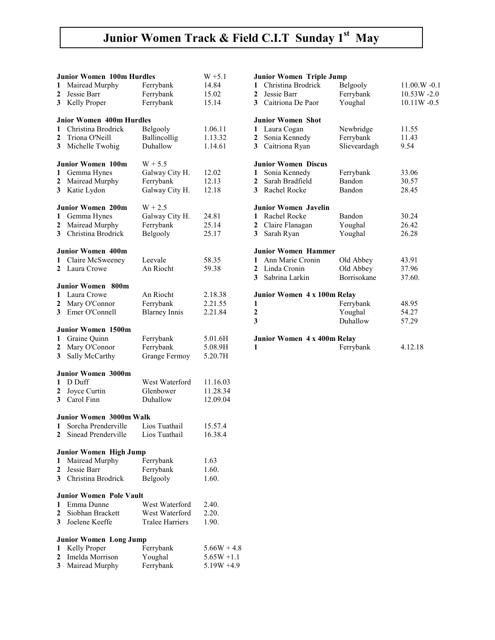# Junior Women Track & Field C.I.T Sunday 1st May

|                  | <b>Junior Women 100m Hurdles</b> |                        | $W + 5.1$      |
|------------------|----------------------------------|------------------------|----------------|
| 1                | Mairead Murphy                   | Ferrybank              | 14.84          |
| $\mathbf{2}$     | Jessie Barr                      | Ferrybank              | 15.02          |
| 3                | Kelly Proper                     | Ferrybank              | 15.14          |
|                  |                                  |                        |                |
|                  | <b>Jnior Women 400m Hurdles</b>  |                        |                |
| 1                | Christina Brodrick               | Belgooly               | 1.06.11        |
| $\boldsymbol{2}$ | Triona O'Neill                   | Ballincollig           | 1.13.32        |
| 3                | Michelle Twohig                  | Duhallow               | 1.14.61        |
|                  |                                  |                        |                |
|                  | <b>Junior Women 100m</b>         | $W + 5.5$              |                |
| 1                | Gemma Hynes                      | Galway City H.         | 12.02          |
| $\mathbf{2}$     | Mairead Murphy                   | Ferrybank              | 12.13          |
| 3                | Katie Lydon                      | Galway City H.         | 12.18          |
|                  |                                  |                        |                |
|                  | <b>Junior Women 200m</b>         | $W + 2.5$              |                |
| 1                | Gemma Hynes                      | Galway City H.         | 24.81          |
| $\mathbf{2}$     | Mairead Murphy                   | Ferrybank              | 25.14          |
| 3                | Christina Brodrick               | Belgooly               | 25.17          |
|                  | <b>Junior Women 400m</b>         |                        |                |
| 1                | Claire McSweeney                 | Leevale                |                |
| $\overline{2}$   | Laura Crowe                      | An Riocht              | 58.35<br>59.38 |
|                  |                                  |                        |                |
|                  | Junior Women 800m                |                        |                |
| 1                | Laura Crowe                      | An Riocht              | 2.18.38        |
| 2                | Mary O'Connor                    | Ferrybank              | 2.21.55        |
| 3 <sup>1</sup>   | Emer O'Connell                   | <b>Blarney Innis</b>   | 2.21.84        |
|                  |                                  |                        |                |
|                  | <b>Junior Women 1500m</b>        |                        |                |
| 1                | Graine Quinn                     | Ferrybank              | 5.01.6H        |
| $\mathbf{2}$     | Mary O'Connor                    | Ferrybank              | 5.08.9H        |
| 3                | Sally McCarthy                   | Grange Fermoy          | 5.20.7H        |
|                  |                                  |                        |                |
|                  | Junior Women 3000m               |                        |                |
| 1                | D Duff                           | West Waterford         | 11.16.03       |
| 2                | Joyce Curtin                     | Glenbower              | 11.28.34       |
| 3                | Carol Finn                       | Duhallow               | 12.09.04       |
|                  | <b>Junior Women 3000m Walk</b>   |                        |                |
| 1                | Sorcha Prenderville              | Lios Tuathail          | 15.57.4        |
|                  | 2 Sinead Prenderville            | Lios Tuathail          | 16.38.4        |
|                  |                                  |                        |                |
|                  | <b>Junior Women High Jump</b>    |                        |                |
| 1                | Mairead Murphy                   | Ferrybank              | 1.63           |
| 2                | Jessie Barr                      | Ferrybank              | 1.60.          |
| 3                | Christina Brodrick               | Belgooly               | 1.60.          |
|                  |                                  |                        |                |
|                  | <b>Junior Women Pole Vault</b>   |                        |                |
| 1                | Emma Dunne                       | West Waterford         | 2.40.          |
| 2                | Siobhan Brackett                 | West Waterford         | 2.20.          |
| 3                | Joelene Keeffe                   | <b>Tralee Harriers</b> | 1.90.          |
|                  | <b>Junior Women Long Jump</b>    |                        |                |
| 1                | Kelly Proper                     | Ferrybank              | $5.66W + 4.8$  |
| 2                | Imelda Morrison                  | Youghal                | $5.65W + 1.1$  |
| 3                | Mairead Murphy                   | Ferrybank              | $5.19W + 4.9$  |
|                  |                                  |                        |                |

| <b>Junior Women Triple Jump</b> |                             |                    |                        |  |
|---------------------------------|-----------------------------|--------------------|------------------------|--|
|                                 | 1 Christina Brodrick        | Belgooly           | $11.00 \text{ W} -0.1$ |  |
| $\mathbf{2}$                    | Jessie Barr                 | Ferrybank          | $10.53W - 2.0$         |  |
|                                 | 3 Caitriona De Paor         | Youghal            | $10.11W - 0.5$         |  |
|                                 | <b>Junior Women Shot</b>    |                    |                        |  |
| 1                               | Laura Cogan                 | Newbridge          | 11.55                  |  |
| $\mathbf{2}$                    | Sonia Kennedy               | Ferrybank          | 11.43                  |  |
| 3 <sup>7</sup>                  | Caitriona Ryan              | Slieveardagh       | 9.54                   |  |
|                                 | <b>Junior Women Discus</b>  |                    |                        |  |
| 1                               | Sonia Kennedy               | Ferrybank          | 33.06                  |  |
|                                 | 2 Sarah Bradfield           | Bandon             | 30.57                  |  |
|                                 | 3 Rachel Rocke              | Bandon             | 28.45                  |  |
|                                 | Junior Women Javelin        |                    |                        |  |
| $\mathbf{1}$                    | Rachel Rocke                | Bandon             | 30.24                  |  |
| 2                               | Claire Flanagan             | Youghal            | 26.42                  |  |
| 3                               | Sarah Ryan                  | Youghal            | 26.28                  |  |
|                                 | <b>Junior Women Hammer</b>  |                    |                        |  |
|                                 | 1 Ann Marie Cronin          | Old Abbey          | 43.91                  |  |
|                                 | 2 Linda Cronin              | Old Abbey          | 37.96                  |  |
|                                 | 3 Sabrina Larkin            | <b>Borrisokane</b> | 37.60.                 |  |
|                                 | Junior Women 4 x 100m Relay |                    |                        |  |
| 1                               |                             | Ferrybank          | 48.95                  |  |
| $\overline{2}$                  |                             | Youghal            | 54.27                  |  |
| 3                               |                             | Duhallow           | 57.29                  |  |
|                                 | Junior Women 4 x 400m Relay |                    |                        |  |
| 1                               |                             | Ferrybank          | 4.12.18                |  |
|                                 |                             |                    |                        |  |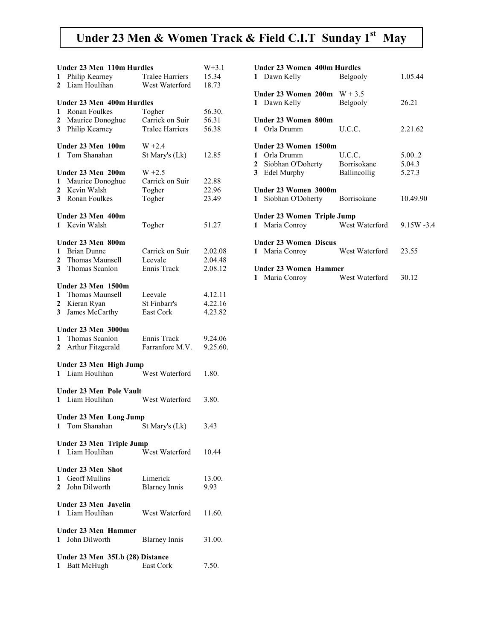### Under 23 Men & Women Track & Field C.I.T Sunday 1st May

|              | <b>Under 23 Men 110m Hurdles</b> |                        | $W+3.1$  |  |
|--------------|----------------------------------|------------------------|----------|--|
| 1            | Philip Kearney                   | <b>Tralee Harriers</b> | 15.34    |  |
| 2            | Liam Houlihan                    | West Waterford         | 18.73    |  |
|              |                                  |                        |          |  |
|              | <b>Under 23 Men 400m Hurdles</b> |                        |          |  |
| 1            | Ronan Foulkes                    |                        | 56.30.   |  |
|              |                                  | Togher                 |          |  |
| 2            | Maurice Donoghue                 | Carrick on Suir        | 56.31    |  |
| 3            | Philip Kearney                   | <b>Tralee Harriers</b> | 56.38    |  |
|              |                                  |                        |          |  |
|              | Under 23 Men 100m                | $W + 2.4$              |          |  |
| 1            | Tom Shanahan                     | St Mary's (Lk)         | 12.85    |  |
|              |                                  |                        |          |  |
|              |                                  |                        |          |  |
|              | Under 23 Men 200m                | $W + 2.5$              |          |  |
| 1            | Maurice Donoghue                 | Carrick on Suir        | 22.88    |  |
| $\mathbf{2}$ | Kevin Walsh                      | Togher                 | 22.96    |  |
|              | 3 Ronan Foulkes                  | Togher                 | 23.49    |  |
|              |                                  |                        |          |  |
|              |                                  |                        |          |  |
|              | Under 23 Men 400m                |                        |          |  |
| $\mathbf{1}$ | Kevin Walsh                      | Togher                 | 51.27    |  |
|              |                                  |                        |          |  |
|              | Under 23 Men 800m                |                        |          |  |
| 1            | <b>Brian Dunne</b>               | Carrick on Suir        | 2.02.08  |  |
| 2            | Thomas Maunsell                  | Leevale                | 2.04.48  |  |
|              |                                  |                        |          |  |
| 3            | Thomas Scanlon                   | Ennis Track            | 2.08.12  |  |
|              |                                  |                        |          |  |
|              | Under 23 Men 1500m               |                        |          |  |
| 1            | Thomas Maunsell                  | Leevale                | 4.12.11  |  |
| $\mathbf{2}$ | Kieran Ryan                      | St Finbarr's           | 4.22.16  |  |
| 3            | James McCarthy                   | East Cork              | 4.23.82  |  |
|              |                                  |                        |          |  |
|              |                                  |                        |          |  |
|              | Under 23 Men 3000m               |                        |          |  |
| 1            | Thomas Scanlon                   | Ennis Track            | 9.24.06  |  |
| $\mathbf{2}$ | Arthur Fitzgerald                | Farranfore M.V.        | 9.25.60. |  |
|              |                                  |                        |          |  |
|              | Under 23 Men High Jump           |                        |          |  |
|              | 1 Liam Houlihan                  | West Waterford         | 1.80.    |  |
|              |                                  |                        |          |  |
|              |                                  |                        |          |  |
|              | <b>Under 23 Men Pole Vault</b>   |                        |          |  |
| $\mathbf{1}$ | Liam Houlihan                    | West Waterford         | 3.80.    |  |
|              |                                  |                        |          |  |
|              | <b>Under 23 Men Long Jump</b>    |                        |          |  |
|              | 1 Tom Shanahan                   | St Mary's (Lk)         | 3.43     |  |
|              |                                  |                        |          |  |
|              |                                  |                        |          |  |
|              | <b>Under 23 Men Triple Jump</b>  |                        |          |  |
| $\mathbf{1}$ | Liam Houlihan                    | West Waterford         | 10.44    |  |
|              |                                  |                        |          |  |
|              | <b>Under 23 Men Shot</b>         |                        |          |  |
| 1            | <b>Geoff Mullins</b>             | Limerick               | 13.00.   |  |
| $\mathbf{2}$ | John Dilworth                    | <b>Blarney Innis</b>   | 9.93     |  |
|              |                                  |                        |          |  |
|              | Under 23 Men Javelin             |                        |          |  |
|              |                                  |                        |          |  |
| $\mathbf{1}$ | Liam Houlihan                    | West Waterford         | 11.60.   |  |
|              |                                  |                        |          |  |
|              | Under 23 Men Hammer              |                        |          |  |
| $\mathbf{1}$ | John Dilworth                    | <b>Blarney Innis</b>   | 31.00.   |  |
|              |                                  |                        |          |  |
|              | Under 23 Men 35Lb (28) Distance  |                        |          |  |
|              |                                  | East Cork              |          |  |
|              | 1 Batt McHugh                    |                        | 7.50.    |  |

| <b>Under 23 Women 400m Hurdles</b><br>Dawn Kelly<br>$\mathbf{1}$                     | <b>Belgooly</b> | 1.05.44  |
|--------------------------------------------------------------------------------------|-----------------|----------|
| Under 23 Women $200m$ W + 3.5                                                        |                 |          |
| 1 Dawn Kelly                                                                         | <b>Belgooly</b> | 26.21    |
| Under 23 Women 800m                                                                  |                 |          |
| 1 Orla Drumm                                                                         | U.C.C.          | 2.21.62  |
| Under 23 Women 1500m                                                                 |                 |          |
| 1 Orla Drumm                                                                         | U.C.C.          | 5.00.2   |
| 2 Siobhan O'Doherty Borrisokane                                                      |                 | 5.04.3   |
| 3 Edel Murphy                                                                        | Ballincollig    | 5.27.3   |
| Under 23 Women 3000m                                                                 |                 |          |
| $\mathbf{1}$                                                                         |                 |          |
| Siobhan O'Doherty Borrisokane                                                        |                 | 10.49.90 |
|                                                                                      |                 |          |
| Under 23 Women Triple Jump<br>Maria Conroy West Waterford 9.15W -3.4<br>$\mathbf{1}$ |                 |          |
| <b>Under 23 Women Discus</b>                                                         |                 |          |
| 1 Maria Conroy                                                                       | West Waterford  | 23.55    |
| Under 23 Women Hammer                                                                |                 |          |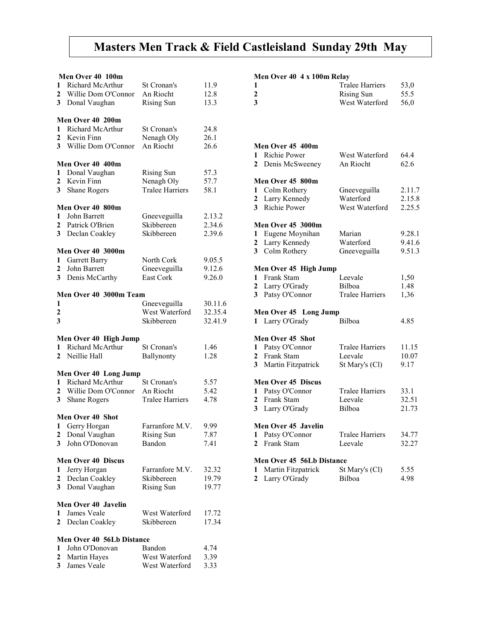## Masters Men Track & Field Castleisland Sunday 29th May

|                | Men Over 40 100m                                         |                                               |                      |
|----------------|----------------------------------------------------------|-----------------------------------------------|----------------------|
| 1<br>2<br>3    | Richard McArthur<br>Willie Dom O'Connor<br>Donal Vaughan | St Cronan's<br>An Riocht<br><b>Rising Sun</b> | 11.9<br>12.8<br>13.3 |
|                |                                                          |                                               |                      |
|                | Men Over 40 200m                                         |                                               |                      |
| 1              | Richard McArthur                                         | St Cronan's                                   | 24.8                 |
| $\overline{2}$ | Kevin Finn                                               | Nenagh Oly                                    | 26.1                 |
| 3              | Willie Dom O'Connor                                      | An Riocht                                     | 26.6                 |
|                | Men Over 40 400m                                         |                                               |                      |
| 1              | Donal Vaughan                                            | <b>Rising Sun</b>                             | 57.3                 |
| $\overline{2}$ | Kevin Finn                                               | Nenagh Oly                                    | 57.7                 |
| 3              |                                                          | <b>Tralee Harriers</b>                        |                      |
|                | <b>Shane Rogers</b>                                      |                                               | 58.1                 |
|                | Men Over 40 800m                                         |                                               |                      |
| 1              | John Barrett                                             | Gneeveguilla                                  | 2.13.2               |
| $\overline{2}$ | Patrick O'Brien                                          | Skibbereen                                    | 2.34.6               |
| 3              | Declan Coakley                                           | Skibbereen                                    | 2.39.6               |
|                | <b>Men Over 40 3000m</b>                                 |                                               |                      |
| 1              | Garrett Barry                                            | North Cork                                    | 9.05.5               |
|                |                                                          |                                               |                      |
| 2              | John Barrett                                             | Gneeveguilla                                  | 9.12.6               |
| 3              | Denis McCarthy                                           | <b>East Cork</b>                              | 9.26.0               |
|                | Men Over 40 3000m Team                                   |                                               |                      |
| 1              |                                                          | Gneeveguilla                                  | 30.11.6              |
| $\overline{2}$ |                                                          | West Waterford                                | 32.35.4              |
| 3              |                                                          | Skibbereen                                    | 32.41.9              |
|                |                                                          |                                               |                      |
|                | Men Over 40 High Jump                                    |                                               |                      |
| 1              | <b>Richard McArthur</b>                                  | St Cronan's                                   | 1.46                 |
| $\mathbf{2}$   | Neillie Hall                                             | Ballynonty                                    | 1.28                 |
|                | Men Over 40 Long Jump                                    |                                               |                      |
| 1              | <b>Richard McArthur</b>                                  | St Cronan's                                   | 5.57                 |
| 2              | Willie Dom O'Connor                                      | An Riocht                                     | 5.42                 |
| 3              |                                                          | <b>Tralee Harriers</b>                        |                      |
|                | <b>Shane Rogers</b>                                      |                                               | 4.78                 |
|                | Men Over 40 Shot                                         |                                               |                      |
| 1              | Gerry Horgan                                             | Farranfore M.V.                               | 9.99                 |
| $\mathbf{z}$   | Donal Vaughan                                            | Rising Sun                                    | 1.87                 |
| 3              | John O'Donovan                                           | Bandon                                        | 7.41                 |
|                | <b>Men Over 40 Discus</b>                                |                                               |                      |
| 1              | Jerry Horgan                                             | Farranfore M.V.                               | 32.32                |
|                |                                                          |                                               |                      |
| 2              | Declan Coakley                                           | Skibbereen                                    | 19.79                |
| 3              | Donal Vaughan                                            | <b>Rising Sun</b>                             | 19.77                |
|                | Men Over 40 Javelin                                      |                                               |                      |
| 1              | James Veale                                              | West Waterford                                | 17.72                |
| 2              | Declan Coakley                                           | Skibbereen                                    | 17.34                |
|                | Men Over 40 56Lb Distance                                |                                               |                      |
|                |                                                          |                                               |                      |
| 1              | John O'Donovan                                           | Bandon                                        | 4.74                 |
| 2              | Martin Hayes                                             | West Waterford                                | 3.39                 |

3 James Veale West Waterford 3.33

#### Men Over 40 4 x 100m Relay

| 1                       |                           | <b>Tralee Harriers</b> | 53,0   |
|-------------------------|---------------------------|------------------------|--------|
| $\overline{c}$          |                           | <b>Rising Sun</b>      | 55.5   |
| $\overline{\mathbf{3}}$ |                           | West Waterford         | 56,0   |
|                         |                           |                        |        |
|                         |                           |                        |        |
|                         | Men Over 45 400m          |                        |        |
| 1                       | Richie Power              | West Waterford         | 64.4   |
| 2                       | Denis McSweeney           | An Riocht              | 62.6   |
|                         | Men Over 45 800m          |                        |        |
| 1                       | Colm Rothery              | Gneeveguilla           | 2.11.7 |
| $\overline{\mathbf{c}}$ | Larry Kennedy             | Waterford              | 2.15.8 |
| $\overline{\mathbf{3}}$ | Richie Power              | West Waterford         | 2.25.5 |
|                         | <b>Men Over 45 3000m</b>  |                        |        |
| 1                       | Eugene Moynihan           | Marian                 | 9.28.1 |
| $\mathbf{2}$            | Larry Kennedy             | Waterford              | 9.41.6 |
| 3                       | Colm Rothery              | Gneeveguilla           | 9.51.3 |
|                         | Men Over 45 High Jump     |                        |        |
| 1                       | Frank Stam                | Leevale                | 1,50   |
| $\mathbf{2}$            | Larry O'Grady             | Bilboa                 | 1.48   |
| $\overline{\mathbf{3}}$ | Patsy O'Connor            | <b>Tralee Harriers</b> | 1,36   |
|                         | Men Over 45 Long Jump     |                        |        |
| $\mathbf{1}$            | Larry O'Grady             | Bilboa                 | 4.85   |
|                         | <b>Men Over 45 Shot</b>   |                        |        |
| 1                       | Patsy O'Connor            | <b>Tralee Harriers</b> | 11.15  |
| $\mathbf{2}$            | Frank Stam                | Leevale                | 10.07  |
| $\overline{\mathbf{3}}$ | Martin Fitzpatrick        | St Mary's (Cl)         | 9.17   |
|                         | <b>Men Over 45 Discus</b> |                        |        |
| 1                       | Patsy O'Connor            | <b>Tralee Harriers</b> | 33.1   |
| $\overline{2}$          | Frank Stam                | Leevale                | 32.51  |
| 3                       | Larry O'Grady             | <b>Bilboa</b>          | 21.73  |
|                         | Men Over 45 Javelin       |                        |        |
| 1                       | Patsy O'Connor            | <b>Tralee Harriers</b> | 34.77  |
| $\mathbf{2}$            | Frank Stam                | Leevale                | 32.27  |
|                         | Men Over 45 56Lb Distance |                        |        |
| 1                       | Martin Fitzpatrick        | St Mary's (Cl)         | 5.55   |
| 2                       | Larry O'Grady             | Bilboa                 | 4.98   |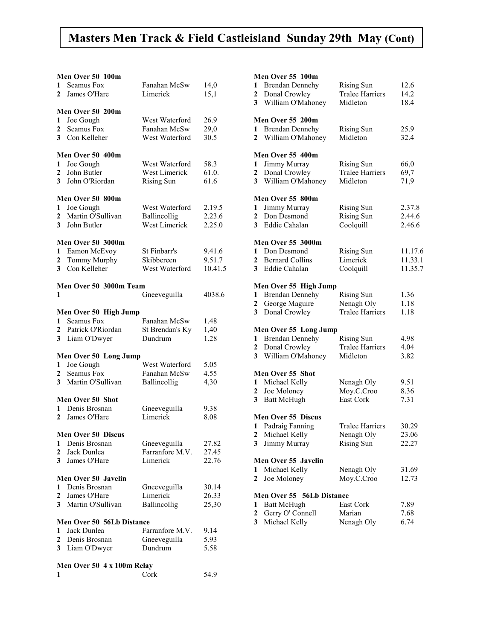### Masters Men Track & Field Castleisland Sunday 29th May (Cont)

#### $M_{on}$  Over 50 100m

| Men Over 50 100m               |                                                                                                                                                                                                                                                             |                                                                                                                                                                                                                      |  |  |
|--------------------------------|-------------------------------------------------------------------------------------------------------------------------------------------------------------------------------------------------------------------------------------------------------------|----------------------------------------------------------------------------------------------------------------------------------------------------------------------------------------------------------------------|--|--|
|                                |                                                                                                                                                                                                                                                             | 14,0                                                                                                                                                                                                                 |  |  |
| James O'Hare                   | Limerick                                                                                                                                                                                                                                                    | 15,1                                                                                                                                                                                                                 |  |  |
|                                |                                                                                                                                                                                                                                                             |                                                                                                                                                                                                                      |  |  |
|                                |                                                                                                                                                                                                                                                             |                                                                                                                                                                                                                      |  |  |
|                                |                                                                                                                                                                                                                                                             | 26.9                                                                                                                                                                                                                 |  |  |
|                                |                                                                                                                                                                                                                                                             | 29,0                                                                                                                                                                                                                 |  |  |
|                                |                                                                                                                                                                                                                                                             |                                                                                                                                                                                                                      |  |  |
|                                |                                                                                                                                                                                                                                                             | 30.5                                                                                                                                                                                                                 |  |  |
|                                |                                                                                                                                                                                                                                                             |                                                                                                                                                                                                                      |  |  |
|                                |                                                                                                                                                                                                                                                             |                                                                                                                                                                                                                      |  |  |
|                                |                                                                                                                                                                                                                                                             | 58.3                                                                                                                                                                                                                 |  |  |
| John Butler                    | <b>West Limerick</b>                                                                                                                                                                                                                                        | 61.0.                                                                                                                                                                                                                |  |  |
| John O'Riordan                 |                                                                                                                                                                                                                                                             | 61.6                                                                                                                                                                                                                 |  |  |
|                                |                                                                                                                                                                                                                                                             |                                                                                                                                                                                                                      |  |  |
|                                |                                                                                                                                                                                                                                                             |                                                                                                                                                                                                                      |  |  |
|                                |                                                                                                                                                                                                                                                             | 2.19.5                                                                                                                                                                                                               |  |  |
|                                |                                                                                                                                                                                                                                                             | 2.23.6                                                                                                                                                                                                               |  |  |
|                                |                                                                                                                                                                                                                                                             | 2.25.0                                                                                                                                                                                                               |  |  |
|                                |                                                                                                                                                                                                                                                             |                                                                                                                                                                                                                      |  |  |
|                                |                                                                                                                                                                                                                                                             |                                                                                                                                                                                                                      |  |  |
|                                |                                                                                                                                                                                                                                                             |                                                                                                                                                                                                                      |  |  |
|                                |                                                                                                                                                                                                                                                             | 9.41.6                                                                                                                                                                                                               |  |  |
|                                | Skibbereen                                                                                                                                                                                                                                                  | 9.51.7                                                                                                                                                                                                               |  |  |
|                                | West Waterford                                                                                                                                                                                                                                              | 10.41.5                                                                                                                                                                                                              |  |  |
|                                |                                                                                                                                                                                                                                                             |                                                                                                                                                                                                                      |  |  |
|                                |                                                                                                                                                                                                                                                             |                                                                                                                                                                                                                      |  |  |
|                                |                                                                                                                                                                                                                                                             | 4038.6                                                                                                                                                                                                               |  |  |
|                                |                                                                                                                                                                                                                                                             |                                                                                                                                                                                                                      |  |  |
|                                |                                                                                                                                                                                                                                                             |                                                                                                                                                                                                                      |  |  |
|                                |                                                                                                                                                                                                                                                             |                                                                                                                                                                                                                      |  |  |
| Men Over 50 High Jump          |                                                                                                                                                                                                                                                             |                                                                                                                                                                                                                      |  |  |
| Seamus Fox                     | Fanahan McSw                                                                                                                                                                                                                                                | 1.48                                                                                                                                                                                                                 |  |  |
| Patrick O'Riordan              | St Brendan's Ky                                                                                                                                                                                                                                             | 1,40                                                                                                                                                                                                                 |  |  |
| Liam O'Dwyer                   | Dundrum                                                                                                                                                                                                                                                     | 1.28                                                                                                                                                                                                                 |  |  |
|                                |                                                                                                                                                                                                                                                             |                                                                                                                                                                                                                      |  |  |
| Men Over 50 Long Jump          |                                                                                                                                                                                                                                                             |                                                                                                                                                                                                                      |  |  |
| Joe Gough                      | West Waterford                                                                                                                                                                                                                                              | 5.05                                                                                                                                                                                                                 |  |  |
| Seamus Fox                     | Fanahan McSw                                                                                                                                                                                                                                                | 4.55                                                                                                                                                                                                                 |  |  |
| Martin O'Sullivan              | Ballincollig                                                                                                                                                                                                                                                | 4,30                                                                                                                                                                                                                 |  |  |
|                                |                                                                                                                                                                                                                                                             |                                                                                                                                                                                                                      |  |  |
| Men Over 50 Shot               |                                                                                                                                                                                                                                                             |                                                                                                                                                                                                                      |  |  |
| Denis Brosnan                  |                                                                                                                                                                                                                                                             |                                                                                                                                                                                                                      |  |  |
|                                | Gneeveguilla                                                                                                                                                                                                                                                | 9.38                                                                                                                                                                                                                 |  |  |
| James O'Hare                   | Limerick                                                                                                                                                                                                                                                    | 8.08                                                                                                                                                                                                                 |  |  |
|                                |                                                                                                                                                                                                                                                             |                                                                                                                                                                                                                      |  |  |
| <b>Men Over 50 Discus</b>      |                                                                                                                                                                                                                                                             |                                                                                                                                                                                                                      |  |  |
| Denis Brosnan                  | Gneeveguilla                                                                                                                                                                                                                                                | 27.82                                                                                                                                                                                                                |  |  |
| Jack Dunlea                    | Farranfore M.V.                                                                                                                                                                                                                                             | 27.45                                                                                                                                                                                                                |  |  |
| James O'Hare                   | Limerick                                                                                                                                                                                                                                                    | 22.76                                                                                                                                                                                                                |  |  |
|                                |                                                                                                                                                                                                                                                             |                                                                                                                                                                                                                      |  |  |
| Men Over 50 Javelin            |                                                                                                                                                                                                                                                             |                                                                                                                                                                                                                      |  |  |
| Denis Brosnan                  | Gneeveguilla                                                                                                                                                                                                                                                | 30.14                                                                                                                                                                                                                |  |  |
| James O'Hare                   | Limerick                                                                                                                                                                                                                                                    | 26.33                                                                                                                                                                                                                |  |  |
| 3 Martin O'Sullivan            | Ballincollig                                                                                                                                                                                                                                                | 25,30                                                                                                                                                                                                                |  |  |
|                                |                                                                                                                                                                                                                                                             |                                                                                                                                                                                                                      |  |  |
| Men Over 50 56Lb Distance      |                                                                                                                                                                                                                                                             |                                                                                                                                                                                                                      |  |  |
| Jack Dunlea                    |                                                                                                                                                                                                                                                             |                                                                                                                                                                                                                      |  |  |
| Denis Brosnan                  | Farranfore M.V.                                                                                                                                                                                                                                             | 9.14                                                                                                                                                                                                                 |  |  |
|                                | Gneeveguilla                                                                                                                                                                                                                                                | 5.93                                                                                                                                                                                                                 |  |  |
| 3 <sup>1</sup><br>Liam O'Dwyer | Dundrum                                                                                                                                                                                                                                                     | 5.58                                                                                                                                                                                                                 |  |  |
|                                | Seamus Fox<br>Men Over 50 200m<br>Joe Gough<br>Seamus Fox<br>Con Kelleher<br>Men Over 50 400m<br>Joe Gough<br>Men Over 50 800m<br>Joe Gough<br>Martin O'Sullivan<br>John Butler<br><b>Men Over 50 3000m</b><br>Eamon McEvoy<br>Tommy Murphy<br>Con Kelleher | Fanahan McSw<br>West Waterford<br>Fanahan McSw<br>West Waterford<br>West Waterford<br><b>Rising Sun</b><br>West Waterford<br>Ballincollig<br>West Limerick<br>St Finbarr's<br>Men Over 50 3000m Team<br>Gneeveguilla |  |  |

| <b>IVICH OVCL 30 <math>\pm</math> A TOOIH INCIAY</b> |      |
|------------------------------------------------------|------|
| Cork                                                 | 54.9 |

#### Men Over 55 100m

| 1                | <b>Brendan Dennehy</b>                          | <b>Rising Sun</b>      | 12.6    |
|------------------|-------------------------------------------------|------------------------|---------|
| 2                | Donal Crowley                                   | <b>Tralee Harriers</b> | 14.2    |
| 3                | William O'Mahoney                               | Midleton               | 18.4    |
|                  |                                                 |                        |         |
|                  | Men Over 55 200m                                |                        |         |
| 1                | <b>Brendan Dennehy</b>                          | <b>Rising Sun</b>      | 25.9    |
| 2                | William O'Mahoney                               | Midleton               | 32.4    |
|                  |                                                 |                        |         |
|                  | Men Over 55 400m                                |                        |         |
| 1                | Jimmy Murray                                    | <b>Rising Sun</b>      | 66,0    |
| 2                | Donal Crowley                                   | <b>Tralee Harriers</b> | 69,7    |
| 3                | William O'Mahoney                               | Midleton               | 71,9    |
|                  |                                                 |                        |         |
|                  | Men Over 55 800m                                |                        | 2.37.8  |
| 1                | Jimmy Murray                                    | <b>Rising Sun</b>      |         |
| 2                | Don Desmond                                     | Rising Sun             | 2.44.6  |
| 3                | Eddie Cahalan                                   | Coolquill              | 2.46.6  |
|                  | <b>Men Over 55 3000m</b>                        |                        |         |
| 1                | Don Desmond                                     | <b>Rising Sun</b>      | 11.17.6 |
| 2                | <b>Bernard Collins</b>                          | Limerick               | 11.33.1 |
| 3                | Eddie Cahalan                                   | Coolquill              | 11.35.7 |
|                  |                                                 |                        |         |
|                  | Men Over 55 High Jump                           |                        |         |
| 1                | <b>Brendan Dennehy</b>                          | <b>Rising Sun</b>      | 1.36    |
| 2                | George Maguire                                  | Nenagh Oly             | 1.18    |
| 3                | Donal Crowley                                   | <b>Tralee Harriers</b> | 1.18    |
|                  |                                                 |                        |         |
| 1                | Men Over 55 Long Jump<br><b>Brendan Dennehy</b> | <b>Rising Sun</b>      | 4.98    |
|                  |                                                 | <b>Tralee Harriers</b> | 4.04    |
| 2                | Donal Crowley                                   |                        |         |
| 3                | William O'Mahoney                               | Midleton               | 3.82    |
|                  | Men Over 55 Shot                                |                        |         |
| 1                | Michael Kelly                                   | Nenagh Oly             | 9.51    |
| 2                | Joe Moloney                                     | Moy.C.Croo             | 8.36    |
| 3                | <b>Batt McHugh</b>                              | East Cork              | 7.31    |
|                  |                                                 |                        |         |
|                  | <b>Men Over 55 Discus</b>                       |                        |         |
| 1                | Padraig Fanning                                 | Tralee Harriers        | 30.29   |
| 2                | Michael Kelly                                   | Nenagh Oly             | 23.06   |
|                  | 3 Jimmy Murray                                  | Rising Sun             | 22.27   |
|                  | Men Over 55 Javelin                             |                        |         |
| 1                | Michael Kelly                                   | Nenagh Oly             | 31.69   |
| 2                | Joe Moloney                                     | Moy.C.Croo             | 12.73   |
|                  |                                                 |                        |         |
|                  | Men Over 55 56Lb Distance                       |                        |         |
| 1                | <b>Batt McHugh</b>                              | East Cork              | 7.89    |
| $\boldsymbol{2}$ | Gerry O' Connell                                | Marian                 | 7.68    |
| 3                | Michael Kelly                                   | Nenagh Oly             | 6.74    |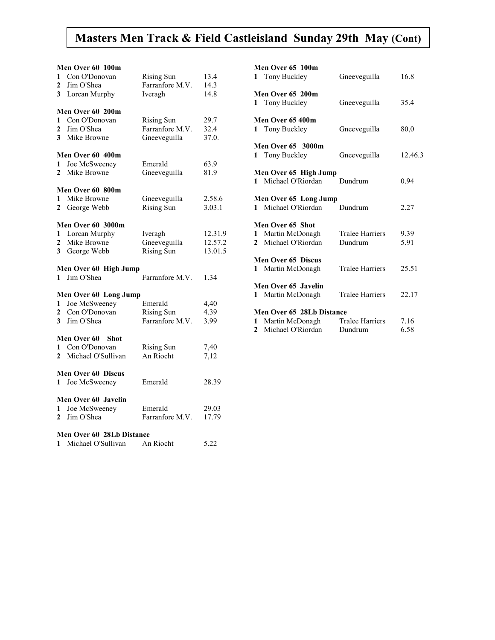### Masters Men Track & Field Castleisland Sunday 29th May (Cont)

|              | Men Over 60 100m                 |                   |         |
|--------------|----------------------------------|-------------------|---------|
| 1            | Con O'Donovan                    | <b>Rising Sun</b> | 13.4    |
| 2            | Jim O'Shea                       | Farranfore M.V.   | 14.3    |
| $\mathbf{3}$ | Lorcan Murphy                    | Iveragh           | 14.8    |
|              |                                  |                   |         |
|              | Men Over 60 200m                 |                   |         |
| 1            | Con O'Donovan                    | <b>Rising Sun</b> | 29.7    |
| 2            | Jim O'Shea                       | Farranfore M.V.   | 32.4    |
| 3            | Mike Browne                      | Gneeveguilla      | 37.0.   |
|              | Men Over 60 400m                 |                   |         |
| 1            | Joe McSweeney                    | Emerald           | 63.9    |
| $\mathbf{2}$ | Mike Browne                      | Gneeveguilla      | 81.9    |
|              |                                  |                   |         |
|              | Men Over 60 800m                 |                   |         |
| $\mathbf{1}$ | Mike Browne                      | Gneeveguilla      | 2.58.6  |
| $\mathbf{2}$ | George Webb                      | <b>Rising Sun</b> | 3.03.1  |
|              |                                  |                   |         |
|              | Men Over 60 3000m                |                   |         |
| 1            | Lorcan Murphy                    | Iveragh           | 12.31.9 |
| 2            | Mike Browne                      | Gneeveguilla      | 12.57.2 |
| 3            | George Webb                      | Rising Sun        | 13.01.5 |
|              | Men Over 60 High Jump            |                   |         |
| $\mathbf{1}$ | Jim O'Shea                       | Farranfore M.V.   | 1.34    |
|              |                                  |                   |         |
|              | Men Over 60 Long Jump            |                   |         |
| 1            | Joe McSweeney                    | Emerald           | 4,40    |
|              | 2 Con O'Donovan                  | <b>Rising Sun</b> | 4.39    |
| 3            | Jim O'Shea                       | Farranfore M.V.   | 3.99    |
|              |                                  |                   |         |
|              | Men Over 60<br>Shot              |                   |         |
| 1.           | Con O'Donovan                    | <b>Rising Sun</b> | 7,40    |
| $\mathbf{2}$ | Michael O'Sullivan               | An Riocht         | 7,12    |
|              | <b>Men Over 60 Discus</b>        |                   |         |
| 1            | Joe McSweeney                    | Emerald           | 28.39   |
|              |                                  |                   |         |
|              | Men Over 60 Javelin              |                   |         |
| 1            | Joe McSweeney                    | Emerald           | 29.03   |
| $\mathbf{2}$ | Jim O'Shea                       | Farranfore M.V.   | 17.79   |
|              |                                  |                   |         |
|              | <b>Men Over 60 28Lb Distance</b> |                   |         |
| 1            | Michael O'Sullivan               | An Riocht         | 5.22    |

|                                    | <b>Men Over 65 100m</b><br>1 Tony Buckley                | Gneeveguilla                      | 16.8         |
|------------------------------------|----------------------------------------------------------|-----------------------------------|--------------|
| Men Over 65 200m<br>1 Tony Buckley |                                                          | Gneeveguilla                      | 35.4         |
|                                    | Men Over 65 400m<br>1 Tony Buckley                       | Gneeveguilla                      | 80,0         |
|                                    | <b>Men Over 65 3000m</b><br>1 Tony Buckley               | Gneeveguilla                      | 12.46.3      |
|                                    | Men Over 65 High Jump<br>1 Michael O'Riordan             | Dundrum                           | 0.94         |
|                                    | Men Over 65 Long Jump<br>1 Michael O'Riordan             | Dundrum                           | 2.27         |
| 1<br>$\mathbf{2}$                  | Men Over 65 Shot<br>Martin McDonagh<br>Michael O'Riordan | <b>Tralee Harriers</b><br>Dundrum | 9.39<br>5.91 |
|                                    | Men Over 65 Discus<br>1 Martin McDonagh                  | <b>Tralee Harriers</b>            | 25.51        |
| $\mathbf{1}$                       | Men Over 65 Javelin<br>Martin McDonagh                   | <b>Tralee Harriers</b>            | 22.17        |
| 1                                  | <b>Men Over 65 28Lb Distance</b><br>Martin McDonagh      | <b>Tralee Harriers</b>            | 7.16         |
| 2                                  | Michael O'Riordan                                        | Dundrum                           | 6.58         |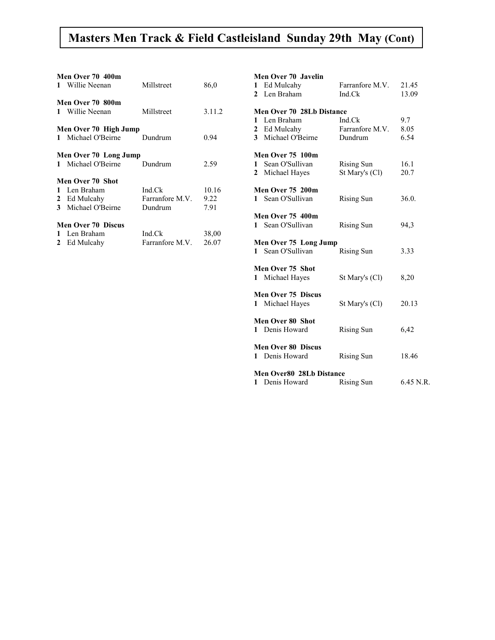### Masters Men Track & Field Castleisland Sunday 29th May (Cont)

|    | Men Over 70 400m<br>1 Willie Neenan                                    | Millstreet                           | 86,0                  |
|----|------------------------------------------------------------------------|--------------------------------------|-----------------------|
|    | Men Over 70 800m<br>1 Willie Neenan                                    | Millstreet                           | 3.11.2                |
|    | Men Over 70 High Jump<br>1 Michael O'Beirne                            | Dundrum                              | 0.94                  |
|    | Men Over 70 Long Jump<br>1 Michael O'Beirne Dundrum                    |                                      | 2.59                  |
|    | Men Over 70 Shot<br>1 Len Braham<br>2 Ed Mulcahy<br>3 Michael O'Beirne | Ind.Ck<br>Farranfore M.V.<br>Dundrum | 10.16<br>9.22<br>7.91 |
| 1. | <b>Men Over 70 Discus</b><br>Len Braham<br>2 Ed Mulcahy                | Ind.Ck<br>Farranfore M.V.            | 38,00<br>26.07        |

#### Men Over 70 Javelin

| 1 Ed Mulcahy                       | Farranfore M.V.                 | 21.45     |
|------------------------------------|---------------------------------|-----------|
| 2 Len Braham                       | Ind.Ck                          | 13.09     |
|                                    |                                 |           |
| <b>Men Over 70 28Lb Distance</b>   |                                 |           |
| 1 Len Braham                       | Ind.Ck                          | 9.7       |
| 2 Ed Mulcahy<br>3 Michael O'Beirne | Farranfore M.V. 8.05<br>Dundrum | 6.54      |
|                                    |                                 |           |
| <b>Men Over 75 100m</b>            |                                 |           |
| 1 Sean O'Sullivan                  | Rising Sun                      | 16.1      |
| 2 Michael Hayes                    | St Mary's (Cl)                  | 20.7      |
|                                    |                                 |           |
| <b>Men Over 75 200m</b>            |                                 |           |
| 1 Sean O'Sullivan                  | Rising Sun                      | 36.0.     |
| <b>Men Over 75 400m</b>            |                                 |           |
| 1 Sean O'Sullivan                  | Rising Sun                      | 94,3      |
|                                    |                                 |           |
| Men Over 75 Long Jump              |                                 |           |
| 1 Sean O'Sullivan                  | Rising Sun                      | 3.33      |
|                                    |                                 |           |
| Men Over 75 Shot                   |                                 |           |
| 1 Michael Hayes                    | St Mary's (Cl)                  | 8,20      |
| <b>Men Over 75 Discus</b>          |                                 |           |
| 1 Michael Hayes                    | St Mary's (Cl)                  | 20.13     |
|                                    |                                 |           |
| <b>Men Over 80 Shot</b>            |                                 |           |
| 1 Denis Howard                     | Rising Sun                      | 6,42      |
| <b>Men Over 80 Discus</b>          |                                 |           |
| 1 Denis Howard                     | Rising Sun                      | 18.46     |
|                                    |                                 |           |
| <b>Men Over80 28Lb Distance</b>    |                                 |           |
| 1 Denis Howard                     | <b>Rising Sun</b>               | 6.45 N.R. |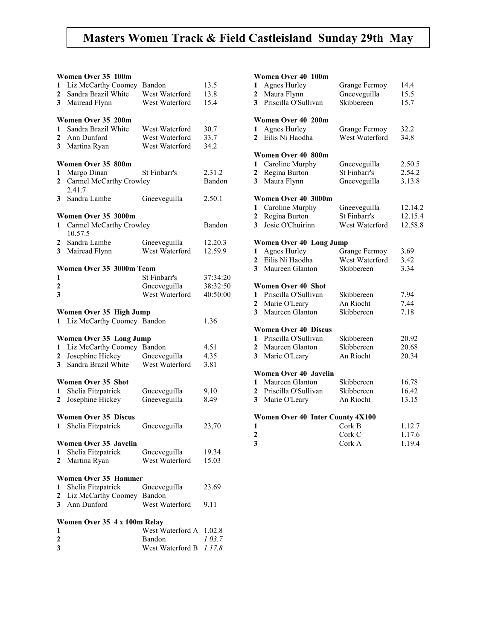### Masters Women Track & Field Castleisland Sunday 29th May

#### Women Over 35 100m

|                         | women Over 33 Tuum           |                            |                  |
|-------------------------|------------------------------|----------------------------|------------------|
| 1                       | Liz McCarthy Coomey          | Bandon                     | 13.5             |
| $\overline{2}$          | Sandra Brazil White          | West Waterford             | 13.8             |
| 3                       | Mairead Flynn                | West Waterford             | 15.4             |
|                         |                              |                            |                  |
|                         |                              |                            |                  |
|                         | Women Over 35 200m           |                            |                  |
| 1                       | Sandra Brazil White          | West Waterford             | 30.7             |
| $\mathbf{2}$            | Ann Dunford                  | West Waterford             | 33.7             |
| 3                       | Martina Ryan                 | West Waterford             | 34.2             |
|                         |                              |                            |                  |
|                         | Women Over 35 800m           |                            |                  |
|                         |                              |                            |                  |
| 1                       | Margo Dinan                  | St Finbarr's               | 2.31.2           |
| $\overline{2}$          | Carmel McCarthy Crowley      |                            | Bandon           |
|                         | 2.41.7                       |                            |                  |
| 3                       | Sandra Lambe                 | Gneeveguilla               | 2.50.1           |
|                         |                              |                            |                  |
|                         | Women Over 35 3000m          |                            |                  |
|                         |                              |                            | Bandon           |
| 1                       | Carmel McCarthy Crowley      |                            |                  |
|                         | 10.57.5                      |                            |                  |
| 2                       | Sandra Lambe                 | Gneeveguilla               | 12.20.3          |
| 3                       | Mairead Flynn                | West Waterford             | 12.59.9          |
|                         |                              |                            |                  |
|                         | Women Over 35 3000m Team     |                            |                  |
| 1                       |                              | St Finbarr's               | 37:34:20         |
| $\boldsymbol{2}$        |                              | Gneeveguilla               | 38:32:50         |
|                         |                              |                            |                  |
| 3                       |                              | West Waterford             | 40:50:00         |
|                         |                              |                            |                  |
|                         | Women Over 35 High Jump      |                            |                  |
| 1                       | Liz McCarthy Coomey Bandon   |                            | 1.36             |
|                         |                              |                            |                  |
|                         | Women Over 35 Long Jump      |                            |                  |
| 1                       | Liz McCarthy Coomey Bandon   |                            | 4.51             |
|                         |                              |                            |                  |
| 2                       | Josephine Hickey             | Gneeveguilla               | 4.35             |
| $\overline{\mathbf{3}}$ | Sandra Brazil White          | West Waterford             | 3.81             |
|                         |                              |                            |                  |
|                         | <b>Women Over 35 Shot</b>    |                            |                  |
| 1                       | Shelia Fitzpatrick           | Gneeveguilla               | 9,10             |
| $\mathbf{2}$            | Josephine Hickey             | Gneeveguilla               | 8.49             |
|                         |                              |                            |                  |
|                         | <b>Women Over 35 Discus</b>  |                            |                  |
|                         |                              |                            |                  |
| 1                       | Shelia Fitzpatrick           | Gneeveguilla               | 23,70            |
|                         |                              |                            |                  |
|                         |                              |                            |                  |
|                         | Women Over 35 Javelin        |                            |                  |
| 1                       |                              |                            |                  |
|                         | Shelia Fitzpatrick           | Gneeveguilla               | 19.34            |
| 2                       | Martina Ryan                 | West Waterford             | 15.03            |
|                         |                              |                            |                  |
|                         | <b>Women Over 35 Hammer</b>  |                            |                  |
| 1                       | Shelia Fitzpatrick           | Gneeveguilla               | 23.69            |
| $\mathbf{2}$            | Liz McCarthy Coomey Bandon   |                            |                  |
| 3                       | Ann Dunford                  | West Waterford             | 9.11             |
|                         |                              |                            |                  |
|                         |                              |                            |                  |
|                         | Women Over 35 4 x 100m Relay |                            |                  |
| 1                       |                              | West Waterford A           | 1.02.8           |
| 2<br>3                  |                              | Bandon<br>West Waterford B | 1.03.7<br>1.17.8 |

#### Women Over  $40 \t 100$ m<br> $1 \t \text{A ones Hurlay}$

|                         | Women Over 40 100m               |                |         |
|-------------------------|----------------------------------|----------------|---------|
| 1                       | <b>Agnes Hurley</b>              | Grange Fermoy  | 14.4    |
| $\overline{\mathbf{c}}$ | Maura Flynn                      | Gneeveguilla   | 15.5    |
|                         | Priscilla O'Sullivan             | Skibbereen     |         |
| 3                       |                                  |                | 15.7    |
|                         | Women Over 40 200m               |                |         |
| 1                       | <b>Agnes Hurley</b>              | Grange Fermoy  | 32.2    |
| $\overline{\mathbf{c}}$ | Eilis Ni Haodha                  | West Waterford | 34.8    |
|                         |                                  |                |         |
|                         | Women Over 40 800m               |                |         |
| 1                       | Caroline Murphy                  | Gneeveguilla   | 2.50.5  |
| $\overline{\mathbf{c}}$ | Regina Burton                    | St Finbarr's   | 2.54.2  |
| 3                       | Maura Flynn                      | Gneeveguilla   | 3.13.8  |
|                         |                                  |                |         |
|                         | Women Over 40 3000m              |                |         |
| 1                       | Caroline Murphy                  | Gneeveguilla   | 12.14.2 |
| 2                       | Regina Burton                    | St Finbarr's   | 12.15.4 |
| 3                       | Josie O'Chuirinn                 | West Waterford | 12.58.8 |
|                         |                                  |                |         |
|                         | <b>Women Over 40 Long Jump</b>   |                |         |
| 1                       | <b>Agnes Hurley</b>              | Grange Fermoy  | 3.69    |
| $\overline{\mathbf{c}}$ | Eilis Ni Haodha                  | West Waterford | 3.42    |
| 3                       | Maureen Glanton                  | Skibbereen     | 3.34    |
|                         | Women Over 40 Shot               |                |         |
| 1                       | Priscilla O'Sullivan             |                |         |
|                         |                                  | Skibbereen     | 7.94    |
| 2                       | Marie O'Leary                    | An Riocht      | 7.44    |
| 3                       | Maureen Glanton                  | Skibbereen     | 7.18    |
|                         | <b>Women Over 40 Discus</b>      |                |         |
| 1                       | Priscilla O'Sullivan             | Skibbereen     | 20.92   |
| 2                       | Maureen Glanton                  | Skibbereen     | 20.68   |
| 3                       | Marie O'Leary                    | An Riocht      | 20.34   |
|                         |                                  |                |         |
|                         | Women Over 40 Javelin            |                |         |
| 1                       | Maureen Glanton                  | Skibbereen     | 16.78   |
| 2                       | Priscilla O'Sullivan             | Skibbereen     | 16.42   |
| 3                       | Marie O'Leary                    | An Riocht      | 13.15   |
|                         |                                  |                |         |
|                         | Women Over 40 Inter County 4X100 |                |         |
| 1                       |                                  | Cork B         | 1.12.7  |
| 2                       |                                  | Cork C         | 1.17.6  |
| 3                       |                                  | Cork A         | 1.19.4  |
|                         |                                  |                |         |
|                         |                                  |                |         |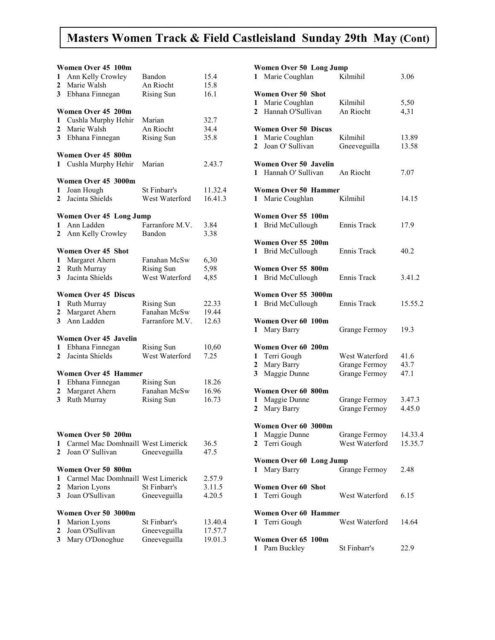### Masters Women Track & Field Castleisland Sunday 29th May (Cont)

| 1<br>2<br>3       | Women Over 45 100m<br>Ann Kelly Crowley<br>Marie Walsh<br>Ebhana Finnegan                   | Bandon<br>An Riocht<br><b>Rising Sun</b>               | 15.4<br>15.8<br>16.1          |
|-------------------|---------------------------------------------------------------------------------------------|--------------------------------------------------------|-------------------------------|
| 1<br>2<br>3       | Women Over 45 200m<br>Cushla Murphy Hehir<br>Marie Walsh<br>Ebhana Finnegan                 | Marian<br>An Riocht<br><b>Rising Sun</b>               | 32.7<br>34.4<br>35.8          |
| 1                 | Women Over 45 800m<br>Cushla Murphy Hehir                                                   | Marian                                                 | 2.43.7                        |
| 1<br>2            | Women Over 45 3000m<br>Joan Hough<br>Jacinta Shields                                        | St Finbarr's<br>West Waterford                         | 11.32.4<br>16.41.3            |
| 1<br>$\mathbf{2}$ | <b>Women Over 45 Long Jump</b><br>Ann Ladden<br>Ann Kelly Crowley                           | Farranfore M.V.<br>Bandon                              | 3.84<br>3.38                  |
| 1<br>2<br>3       | <b>Women Over 45 Shot</b><br>Margaret Ahern<br>Ruth Murray<br>Jacinta Shields               | Fanahan McSw<br><b>Rising Sun</b><br>West Waterford    | 6,30<br>5,98<br>4,85          |
| 1<br>2<br>3       | <b>Women Over 45 Discus</b><br>Ruth Murray<br>Margaret Ahern<br>Ann Ladden                  | <b>Rising Sun</b><br>Fanahan McSw<br>Farranfore M.V.   | 22.33<br>19.44<br>12.63       |
| 1<br>$\mathbf{2}$ | <b>Women Over 45 Javelin</b><br>Ebhana Finnegan<br>Jacinta Shields                          | <b>Rising Sun</b><br>West Waterford                    | 10,60<br>7.25                 |
| 1<br>2<br>3       | <b>Women Over 45 Hammer</b><br>Ebhana Finnegan<br>Margaret Ahern<br>Ruth Murray             | <b>Rising Sun</b><br>Fanahan McSw<br><b>Rising Sun</b> | 18.26<br>16.96<br>16.73       |
| 1<br>2            | Women Over 50 200m<br>Carmel Mac Domhnaill West Limerick<br>Joan O' Sullivan                | Gneeveguilla                                           | 36.5<br>47.5                  |
| 1<br>2<br>3       | Women Over 50 800m<br>Carmel Mac Domhnaill West Limerick<br>Marion Lyons<br>Joan O'Sullivan | St Finbarr's<br>Gneeveguilla                           | 2.57.9<br>3.11.5<br>4.20.5    |
| 1<br>2<br>3       | Women Over 50 3000m<br>Marion Lyons<br>Joan O'Sullivan<br>Mary O'Donoghue                   | St Finbarr's<br>Gneeveguilla<br>Gneeveguilla           | 13.40.4<br>17.57.7<br>19.01.3 |

| Women Over 50 Long Jump<br>Marie Coughlan<br>$\mathbf{1}$                              | Kilmihil                                         |                      |  |
|----------------------------------------------------------------------------------------|--------------------------------------------------|----------------------|--|
| <b>Women Over 50 Shot</b><br>1 Marie Coughlan<br>Hannah O'Sullivan<br>$\mathbf{2}$     | Kilmihil<br>An Riocht                            | 5,50<br>4,31         |  |
| <b>Women Over 50 Discus</b><br>Marie Coughlan<br>1<br>Joan O' Sullivan<br>$\mathbf{2}$ | Kilmihil<br>Gneeveguilla                         | 13.89<br>13.58       |  |
| <b>Women Over 50 Javelin</b><br>1 Hannah O' Sullivan                                   | An Riocht                                        | 7.07                 |  |
| Women Over 50 Hammer<br>1 Marie Coughlan                                               | Kilmihil                                         | 14.15                |  |
| Women Over 55 100m<br><b>Brid McCullough</b><br>1                                      | Ennis Track                                      | 17.9                 |  |
| Women Over 55 200m<br>1 Brid McCullough                                                | Ennis Track                                      | 40.2                 |  |
| Women Over 55 800m<br>1 Brid McCullough                                                | <b>Ennis Track</b>                               | 3.41.2               |  |
| Women Over 55 3000m<br><b>Brid McCullough</b><br>1                                     | Ennis Track                                      | 15.55.2              |  |
| Women Over 60 100m<br>Mary Barry<br>1                                                  | Grange Fermoy                                    | 19.3                 |  |
| Women Over 60 200m<br>1 Terri Gough<br>Mary Barry<br>2<br>Maggie Dunne<br>3            | West Waterford<br>Grange Fermoy<br>Grange Fermoy | 41.6<br>43.7<br>47.1 |  |
| Women Over 60 800m<br>Maggie Dunne<br>1<br>Mary Barry<br>2                             | Grange Fermoy<br><b>Grange Fermoy</b>            | 3.47.3<br>4.45.0     |  |
| Women Over 60 3000m<br>Maggie Dunne<br>1<br>2<br>Terri Gough                           | Grange Fermoy<br>West Waterford                  | 14.33.4<br>15.35.7   |  |
| Women Over 60 Long Jump<br>1 Mary Barry                                                | Grange Fermoy                                    | 2.48                 |  |
| <b>Women Over 60 Shot</b><br>1 Terri Gough                                             | West Waterford                                   | 6.15                 |  |
| <b>Women Over 60 Hammer</b><br>Terri Gough<br>1                                        | West Waterford                                   | 14.64                |  |
| Women Over 65 100m<br>Pam Buckley<br>1                                                 | St Finbarr's                                     | 22.9                 |  |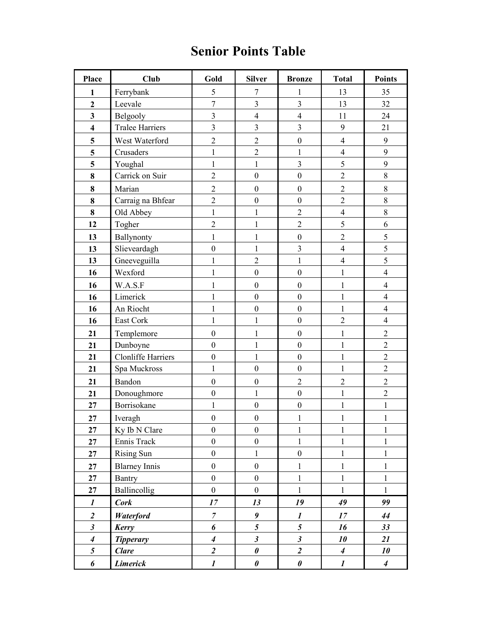## Senior Points Table

| Place                   | <b>Club</b>               | Gold             | <b>Silver</b>           | <b>Bronze</b>           | <b>Total</b>     | <b>Points</b>            |
|-------------------------|---------------------------|------------------|-------------------------|-------------------------|------------------|--------------------------|
| 1                       | Ferrybank                 | 5                | $\tau$                  | 1                       | 13               | 35                       |
| $\overline{\mathbf{c}}$ | Leevale                   | $\overline{7}$   | $\overline{\mathbf{3}}$ | $\overline{\mathbf{3}}$ | 13               | 32                       |
| 3                       | Belgooly                  | $\overline{3}$   | $\overline{4}$          | $\overline{4}$          | 11               | 24                       |
| $\overline{\mathbf{4}}$ | <b>Tralee Harriers</b>    | $\overline{3}$   | 3                       | 3                       | $\boldsymbol{9}$ | 21                       |
| 5                       | West Waterford            | $\overline{2}$   | $\overline{2}$          | $\boldsymbol{0}$        | $\overline{4}$   | 9                        |
| 5                       | Crusaders                 | $\mathbf{1}$     | $\overline{c}$          | $\mathbf{1}$            | $\overline{4}$   | $\mathbf{9}$             |
| 5                       | Youghal                   | $\mathbf{1}$     | $\mathbf{1}$            | 3                       | 5                | 9                        |
| 8                       | Carrick on Suir           | $\overline{2}$   | $\boldsymbol{0}$        | $\boldsymbol{0}$        | $\overline{2}$   | $\,8\,$                  |
| 8                       | Marian                    | $\overline{2}$   | $\boldsymbol{0}$        | $\boldsymbol{0}$        | $\overline{2}$   | $\,$ $\,$                |
| 8                       | Carraig na Bhfear         | $\overline{2}$   | $\boldsymbol{0}$        | $\boldsymbol{0}$        | $\overline{2}$   | $\,8\,$                  |
| 8                       | Old Abbey                 | $\mathbf{1}$     | 1                       | $\overline{2}$          | $\overline{4}$   | $\,8\,$                  |
| 12                      | Togher                    | $\overline{2}$   | $\mathbf{1}$            | $\overline{2}$          | 5                | 6                        |
| 13                      | Ballynonty                | $\mathbf{1}$     | $\mathbf{1}$            | $\boldsymbol{0}$        | $\overline{2}$   | $\sqrt{5}$               |
| 13                      | Slieveardagh              | $\mathbf{0}$     | $\mathbf{1}$            | $\overline{\mathbf{3}}$ | $\overline{4}$   | 5                        |
| 13                      | Gneeveguilla              | 1                | $\overline{2}$          | $\mathbf{1}$            | $\overline{4}$   | 5                        |
| 16                      | Wexford                   | $\mathbf{1}$     | $\boldsymbol{0}$        | $\boldsymbol{0}$        | $\mathbf{1}$     | $\overline{4}$           |
| 16                      | W.A.S.F                   | 1                | $\boldsymbol{0}$        | $\boldsymbol{0}$        | $\mathbf{1}$     | $\overline{4}$           |
| 16                      | Limerick                  | 1                | $\mathbf{0}$            | $\boldsymbol{0}$        | $\mathbf{1}$     | $\overline{\mathcal{L}}$ |
| 16                      | An Riocht                 | 1                | $\boldsymbol{0}$        | $\boldsymbol{0}$        | $\mathbf{1}$     | $\overline{4}$           |
| 16                      | East Cork                 | $\mathbf{1}$     | $\mathbf{1}$            | $\boldsymbol{0}$        | $\overline{2}$   | $\overline{4}$           |
| 21                      | Templemore                | $\boldsymbol{0}$ | 1                       | $\boldsymbol{0}$        | $\mathbf{1}$     | $\overline{2}$           |
| 21                      | Dunboyne                  | $\mathbf{0}$     | $\mathbf{1}$            | $\boldsymbol{0}$        | $\mathbf{1}$     | $\overline{2}$           |
| 21                      | <b>Clonliffe Harriers</b> | $\boldsymbol{0}$ | $\mathbf{1}$            | $\boldsymbol{0}$        | $\mathbf 1$      | $\overline{2}$           |
| 21                      | Spa Muckross              | $\mathbf{1}$     | $\boldsymbol{0}$        | $\boldsymbol{0}$        | $\mathbf{1}$     | $\overline{2}$           |
| 21                      | Bandon                    | $\boldsymbol{0}$ | $\boldsymbol{0}$        | $\overline{2}$          | $\overline{2}$   | $\overline{2}$           |
| 21                      | Donoughmore               | $\boldsymbol{0}$ | $\mathbf{1}$            | $\boldsymbol{0}$        | $\mathbf{1}$     | $\overline{2}$           |
| 27                      | Borrisokane               | $\mathbf{1}$     | $\boldsymbol{0}$        | $\boldsymbol{0}$        | $\mathbf 1$      | $\mathbf{1}$             |
| 27                      | Iveragh                   | $\boldsymbol{0}$ | $\boldsymbol{0}$        | 1                       | $\mathbf{1}$     | 1                        |
| 27                      | Ky Ib N Clare             | $\boldsymbol{0}$ | $\boldsymbol{0}$        | 1                       | $\mathbf{1}$     | $\mathbf{1}$             |
| 27                      | Ennis Track               | $\boldsymbol{0}$ | $\boldsymbol{0}$        | $\mathbf{1}$            | $\mathbf{1}$     | 1                        |
| 27                      | Rising Sun                | $\boldsymbol{0}$ | $\mathbf{1}$            | $\boldsymbol{0}$        | $\mathbf{1}$     | $\mathbf{1}$             |
| 27                      | <b>Blarney Innis</b>      | $\mathbf{0}$     | $\overline{0}$          | $\mathbf{1}$            | $\mathbf{1}$     | $\mathbf{1}$             |
| 27                      | <b>Bantry</b>             | $\boldsymbol{0}$ | $\boldsymbol{0}$        | $\mathbf{1}$            | $\mathbf{1}$     | $\mathbf{1}$             |
| 27                      | Ballincollig              | $\boldsymbol{0}$ | $\overline{0}$          | $\mathbf{1}$            | $\mathbf{1}$     | $\mathbf{1}$             |
| $\boldsymbol{l}$        | <b>Cork</b>               | 17               | 13                      | 19                      | 49               | 99                       |
| $\overline{2}$          | <b>Waterford</b>          | $\boldsymbol{7}$ | 9                       | $\boldsymbol{l}$        | 17               | 44                       |
| $\boldsymbol{\beta}$    | Kerry                     | 6                | $\overline{5}$          | $\mathfrak{s}$          | 16               | 33                       |
| $\boldsymbol{4}$        | <b>Tipperary</b>          | $\boldsymbol{4}$ | $\mathfrak{z}$          | $\mathfrak{z}$          | 10               | 21                       |
| 5                       | <b>Clare</b>              | $\overline{2}$   | $\pmb{\theta}$          | $\overline{2}$          | $\boldsymbol{4}$ | 10                       |
| 6                       | <b>Limerick</b>           | $\boldsymbol{l}$ | $\pmb{\theta}$          | $\pmb{\theta}$          | $\boldsymbol{l}$ | $\boldsymbol{4}$         |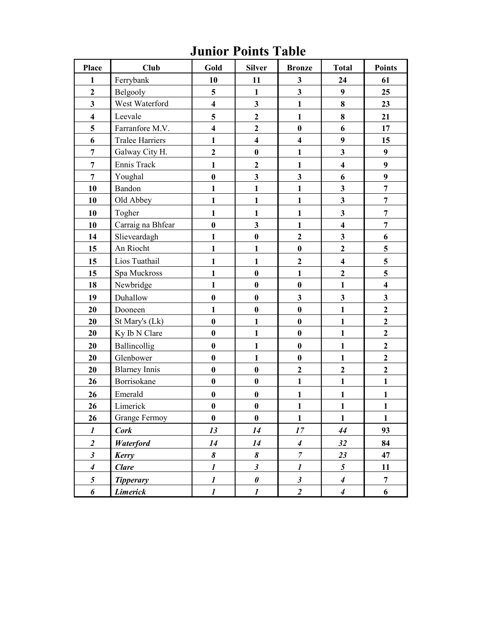## Junior Points Table

| <b>Place</b>            | <b>Club</b>            | Gold                    | <b>Silver</b>           | <b>Bronze</b>           | <b>Total</b>            | <b>Points</b>           |
|-------------------------|------------------------|-------------------------|-------------------------|-------------------------|-------------------------|-------------------------|
| 1                       | Ferrybank              | 10                      | 11                      | $\mathbf{3}$            | 24                      | 61                      |
| $\overline{2}$          | Belgooly               | 5                       | $\mathbf{1}$            | $\mathbf{3}$            | 9                       | 25                      |
| 3                       | West Waterford         | $\overline{\mathbf{4}}$ | 3                       | $\mathbf{1}$            | $\bf 8$                 | 23                      |
| $\overline{\mathbf{4}}$ | Leevale                | 5                       | $\mathbf{2}$            | $\mathbf{1}$            | $\bf 8$                 | 21                      |
| 5                       | Farranfore M.V.        | $\overline{\mathbf{4}}$ | $\overline{2}$          | $\bf{0}$                | 6                       | 17                      |
| 6                       | <b>Tralee Harriers</b> | $\mathbf{1}$            | $\overline{\mathbf{4}}$ | $\overline{\mathbf{4}}$ | 9                       | 15                      |
| $\boldsymbol{7}$        | Galway City H.         | $\overline{2}$          | $\bf{0}$                | $\mathbf{1}$            | $\overline{\mathbf{3}}$ | $\boldsymbol{9}$        |
| $\overline{7}$          | Ennis Track            | $\mathbf{1}$            | $\overline{2}$          | $\mathbf{1}$            | $\overline{\mathbf{4}}$ | $\boldsymbol{9}$        |
| $\overline{7}$          | Youghal                | $\bf{0}$                | $\overline{\mathbf{3}}$ | $\mathbf{3}$            | 6                       | 9                       |
| 10                      | Bandon                 | $\mathbf{1}$            | $\mathbf{1}$            | $\mathbf{1}$            | $\mathbf{3}$            | $\overline{7}$          |
| 10                      | Old Abbey              | $\mathbf{1}$            | $\mathbf{1}$            | $\mathbf{1}$            | $\overline{\mathbf{3}}$ | $\overline{7}$          |
| 10                      | Togher                 | $\mathbf{1}$            | $\mathbf{1}$            | $\mathbf{1}$            | $\mathbf{3}$            | $\overline{7}$          |
| 10                      | Carraig na Bhfear      | $\bf{0}$                | $\mathbf{3}$            | $\mathbf{1}$            | $\overline{\mathbf{4}}$ | $\overline{7}$          |
| 14                      | Slieveardagh           | $\mathbf{1}$            | $\bf{0}$                | $\overline{2}$          | $\overline{\mathbf{3}}$ | 6                       |
| 15                      | An Riocht              | $\mathbf{1}$            | $\mathbf{1}$            | $\bf{0}$                | $\overline{2}$          | 5                       |
| 15                      | Lios Tuathail          | $\mathbf{1}$            | $\mathbf{1}$            | $\mathbf 2$             | $\overline{\mathbf{4}}$ | 5                       |
| 15                      | Spa Muckross           | $\mathbf{1}$            | $\bf{0}$                | $\mathbf{1}$            | $\overline{2}$          | 5                       |
| 18                      | Newbridge              | $\mathbf{1}$            | $\bf{0}$                | $\bf{0}$                | $\mathbf{1}$            | $\overline{\mathbf{4}}$ |
| 19                      | Duhallow               | $\bf{0}$                | $\bf{0}$                | $\mathbf{3}$            | $\mathbf{3}$            | $\mathbf{3}$            |
| 20                      | Dooneen                | $\mathbf{1}$            | $\bf{0}$                | $\bf{0}$                | $\mathbf{1}$            | $\overline{2}$          |
| 20                      | St Mary's (Lk)         | $\bf{0}$                | $\mathbf{1}$            | $\bf{0}$                | $\mathbf{1}$            | $\boldsymbol{2}$        |
| 20                      | Ky Ib N Clare          | $\bf{0}$                | $\mathbf{1}$            | $\bf{0}$                | $\mathbf{1}$            | $\overline{2}$          |
| 20                      | Ballincollig           | $\bf{0}$                | $\mathbf{1}$            | $\bf{0}$                | $\mathbf{1}$            | $\mathbf{2}$            |
| 20                      | Glenbower              | $\bf{0}$                | $\mathbf{1}$            | $\bf{0}$                | $\mathbf{1}$            | $\mathbf{2}$            |
| 20                      | <b>Blarney Innis</b>   | $\bf{0}$                | $\bf{0}$                | $\overline{2}$          | $\overline{2}$          | $\overline{2}$          |
| 26                      | Borrisokane            | $\bf{0}$                | $\bf{0}$                | $\mathbf{1}$            | $\mathbf{1}$            | $\mathbf{1}$            |
| 26                      | Emerald                | $\bf{0}$                | $\bf{0}$                | $\mathbf{1}$            | $\mathbf{1}$            | $\mathbf{1}$            |
| 26                      | Limerick               | $\bf{0}$                | $\bf{0}$                | $\mathbf{1}$            | $\mathbf{1}$            | $\mathbf{1}$            |
| 26                      | <b>Grange Fermoy</b>   | $\bf{0}$                | $\bf{0}$                | $\mathbf{1}$            | $\mathbf{1}$            | $\mathbf{1}$            |
| $\boldsymbol{l}$        | <b>Cork</b>            | 13                      | 14                      | 17                      | 44                      | 93                      |
| $\boldsymbol{2}$        | <b>Waterford</b>       | 14                      | 14                      | $\boldsymbol{4}$        | 32                      | 84                      |
| $\mathfrak{z}$          | Kerry                  | 8                       | 8                       | $\overline{7}$          | 23                      | 47                      |
| $\boldsymbol{4}$        | <b>Clare</b>           | $\boldsymbol{l}$        | $\boldsymbol{\beta}$    | $\boldsymbol{l}$        | 5                       | 11                      |
| 5                       | <b>Tipperary</b>       | $\boldsymbol{l}$        | $\pmb{\theta}$          | $\boldsymbol{\beta}$    | $\boldsymbol{4}$        | $\overline{7}$          |
| 6                       | <b>Limerick</b>        | $\boldsymbol{l}$        | $\boldsymbol{l}$        | $\overline{2}$          | $\boldsymbol{4}$        | 6                       |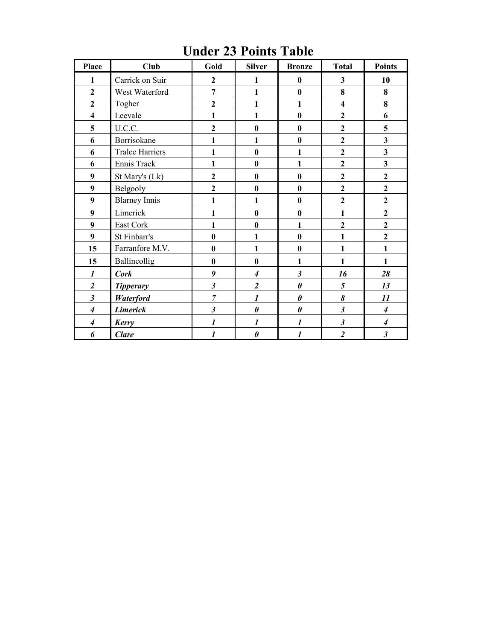| <b>Place</b>                | <b>Club</b>            | Gold             | <b>Silver</b>            | <b>Bronze</b>         | <b>Total</b>            | <b>Points</b>               |
|-----------------------------|------------------------|------------------|--------------------------|-----------------------|-------------------------|-----------------------------|
| $\mathbf{1}$                | Carrick on Suir        | $\overline{2}$   | $\mathbf{1}$             | $\boldsymbol{0}$      | 3                       | 10                          |
| $\overline{2}$              | West Waterford         | $\overline{7}$   | $\mathbf{1}$             | $\bf{0}$              | 8                       | 8                           |
| $\overline{2}$              | Togher                 | $\overline{2}$   | $\mathbf{1}$             | 1                     | $\overline{\mathbf{4}}$ | 8                           |
| $\overline{\mathbf{4}}$     | Leevale                | 1                | $\mathbf{1}$             | $\bf{0}$              | $\mathbf{2}$            | 6                           |
| 5                           | U.C.C.                 | $\overline{2}$   | $\bf{0}$                 | $\bf{0}$              | $\overline{2}$          | 5                           |
| 6                           | Borrisokane            | 1                | 1                        | $\bf{0}$              | $\overline{2}$          | 3                           |
| 6                           | <b>Tralee Harriers</b> | 1                | $\bf{0}$                 | 1                     | $\overline{2}$          | 3                           |
| 6                           | Ennis Track            | 1                | $\bf{0}$                 | $\mathbf{1}$          | $\overline{2}$          | 3                           |
| 9                           | St Mary's (Lk)         | $\overline{2}$   | $\bf{0}$                 | $\bf{0}$              | $\overline{2}$          | $\overline{2}$              |
| 9                           | Belgooly               | $\overline{2}$   | $\bf{0}$                 | $\bf{0}$              | $\overline{2}$          | $\overline{2}$              |
| 9                           | <b>Blarney Innis</b>   | 1                | 1                        | $\bf{0}$              | $\overline{2}$          | $\overline{2}$              |
| 9                           | Limerick               | 1                | $\bf{0}$                 | $\bf{0}$              | 1                       | $\overline{2}$              |
| 9                           | East Cork              | 1                | $\bf{0}$                 | $\mathbf{1}$          | $\overline{2}$          | $\overline{2}$              |
| 9                           | St Finbarr's           | $\bf{0}$         | $\mathbf{1}$             | $\bf{0}$              | $\mathbf{1}$            | $\overline{2}$              |
| 15                          | Farranfore M.V.        | $\bf{0}$         | 1                        | $\bf{0}$              | 1                       | $\mathbf{1}$                |
| 15                          | Ballincollig           | $\bf{0}$         | $\bf{0}$                 | 1                     | $\mathbf{1}$            | $\mathbf{1}$                |
| 1                           | <b>Cork</b>            | 9                | $\overline{\mathcal{A}}$ | $\mathfrak{z}$        | 16                      | 28                          |
| $\overline{2}$              | <b>Tipperary</b>       | $\mathfrak{z}$   | $\overline{2}$           | $\boldsymbol{\theta}$ | 5                       | 13                          |
| $\boldsymbol{\beta}$        | Waterford              | $\overline{7}$   | $\boldsymbol{l}$         | $\pmb{\theta}$        | 8                       | 11                          |
| $\overline{\boldsymbol{4}}$ | <b>Limerick</b>        | $\mathfrak{z}$   | $\boldsymbol{\theta}$    | $\boldsymbol{\theta}$ | $\mathfrak{z}$          | $\overline{\boldsymbol{4}}$ |
| $\boldsymbol{4}$            | Kerry                  | 1                | $\boldsymbol{l}$         | $\boldsymbol{l}$      | $\mathfrak{z}$          | $\boldsymbol{4}$            |
| 6                           | <b>Clare</b>           | $\boldsymbol{l}$ | $\boldsymbol{\theta}$    | $\boldsymbol{l}$      | $\overline{2}$          | $\boldsymbol{\mathfrak{z}}$ |

Under 23 Points Table